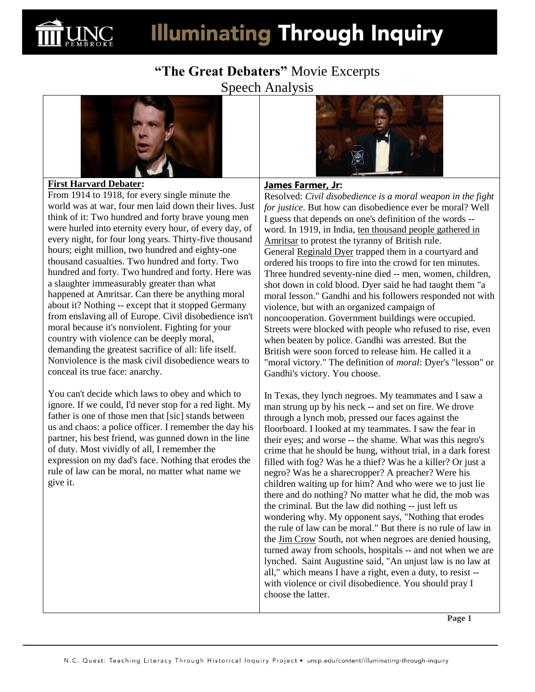

# **Illuminating Through Inquiry**

### **"The Great Debaters"** Movie Excerpts Speech Analysis



#### **First Harvard Debater:**

From 1914 to 1918, for every single minute the world was at war, four men laid down their lives. Just think of it: Two hundred and forty brave young men were hurled into eternity every hour, of every day, of every night, for four long years. Thirty-five thousand hours; eight million, two hundred and eighty-one thousand casualties. Two hundred and forty. Two hundred and forty. Two hundred and forty. Here was a slaughter immeasurably greater than what happened at Amritsar. Can there be anything moral about it? Nothing -- except that it stopped Germany from enslaving all of Europe. Civil disobedience isn't moral because it's nonviolent. Fighting for your country with violence can be deeply moral, demanding the greatest sacrifice of all: life itself. Nonviolence is the mask civil disobedience wears to conceal its true face: anarchy.

You can't decide which laws to obey and which to ignore. If we could, I'd never stop for a red light. My father is one of those men that [sic] stands between us and chaos: a police officer. I remember the day his partner, his best friend, was gunned down in the line of duty. Most vividly of all, I remember the expression on my dad's face. Nothing that erodes the rule of law can be moral, no matter what name we give it.



#### **James Farmer, Jr:**

Resolved: *Civil disobedience is a moral weapon in the fight for justice*. But how can disobedience ever be moral? Well I guess that depends on one's definition of the words - word. In 1919, in India, [ten thousand people gathered in](http://en.wikipedia.org/wiki/Jallianwala_Bagh_massacre)  [Amritsar](http://en.wikipedia.org/wiki/Jallianwala_Bagh_massacre) to protest the tyranny of British rule. General [Reginald Dyer](http://en.wikipedia.org/wiki/Reginald_Dyer) trapped them in a courtyard and ordered his troops to fire into the crowd for ten minutes. Three hundred seventy-nine died -- men, women, children, shot down in cold blood. Dyer said he had taught them "a moral lesson." Gandhi and his followers responded not with violence, but with an organized campaign of noncooperation. Government buildings were occupied. Streets were blocked with people who refused to rise, even when beaten by police. Gandhi was arrested. But the British were soon forced to release him. He called it a "moral victory." The definition of *moral*: Dyer's "lesson" or Gandhi's victory. You choose.

In Texas, they lynch negroes. My teammates and I saw a man strung up by his neck -- and set on fire. We drove through a lynch mob, pressed our faces against the floorboard. I looked at my teammates. I saw the fear in their eyes; and worse -- the shame. What was this negro's crime that he should be hung, without trial, in a dark forest filled with fog? Was he a thief? Was he a killer? Or just a negro? Was he a sharecropper? A preacher? Were his children waiting up for him? And who were we to just lie there and do nothing? No matter what he did, the mob was the criminal. But the law did nothing -- just left us wondering why. My opponent says, "Nothing that erodes the rule of law can be moral." But there is no rule of law in the [Jim Crow](http://en.wikipedia.org/wiki/Jim_Crow_laws) South, not when negroes are denied housing, turned away from schools, hospitals -- and not when we are lynched. Saint Augustine said, "An unjust law is no law at all," which means I have a right, even a duty, to resist - with violence or civil disobedience. You should pray I choose the latter.

 **Page 1**